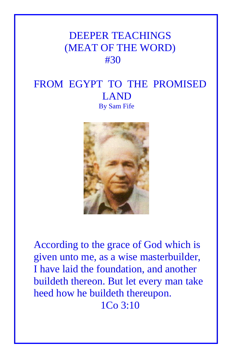# DEEPER TEACHINGS (MEAT OF THE WORD) #30

## FROM EGYPT TO THE PROMISED LAND By Sam Fife



According to the grace of God which is given unto me, as a wise masterbuilder, I have laid the foundation, and another buildeth thereon. But let every man take heed how he buildeth thereupon. 1Co 3:10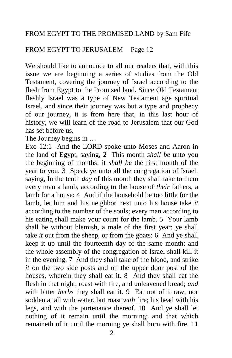#### FROM EGYPT TO THE PROMISED LAND by Sam Fife

#### FROM EGYPT TO JERUSALEM Page 12

We should like to announce to all our readers that, with this issue we are beginning a series of studies from the Old Testament, covering the journey of Israel according to the flesh from Egypt to the Promised land. Since Old Testament fleshly Israel was a type of New Testament age spiritual Israel, and since their journey was but a type and prophecy of our journey, it is from here that, in this last hour of history, we will learn of the road to Jerusalem that our God has set before us.

The Journey begins in …

Exo 12:1 And the LORD spoke unto Moses and Aaron in the land of Egypt, saying, 2 This month *shall be* unto you the beginning of months: it *shall be* the first month of the year to you. 3 Speak ye unto all the congregation of Israel, saying, In the tenth *day* of this month they shall take to them every man a lamb, according to the house of *their* fathers, a lamb for a house: 4 And if the household be too little for the lamb, let him and his neighbor next unto his house take *it* according to the number of the souls; every man according to his eating shall make your count for the lamb. 5 Your lamb shall be without blemish, a male of the first year: ye shall take *it* out from the sheep, or from the goats: 6 And ye shall keep it up until the fourteenth day of the same month: and the whole assembly of the congregation of Israel shall kill it in the evening. 7 And they shall take of the blood, and strike *it* on the two side posts and on the upper door post of the houses, wherein they shall eat it. 8 And they shall eat the flesh in that night, roast with fire, and unleavened bread; *and* with bitter *herbs* they shall eat it. 9 Eat not of it raw, nor sodden at all with water, but roast *with* fire; his head with his legs, and with the purtenance thereof. 10 And ye shall let nothing of it remain until the morning; and that which remaineth of it until the morning ye shall burn with fire. 11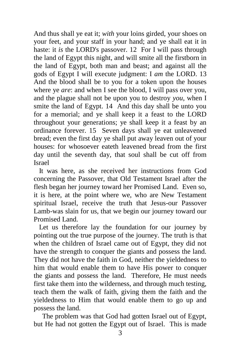And thus shall ye eat it; *with* your loins girded, your shoes on your feet, and your staff in your hand; and ye shall eat it in haste: it *is* the LORD's passover. 12 For I will pass through the land of Egypt this night, and will smite all the firstborn in the land of Egypt, both man and beast; and against all the gods of Egypt I will execute judgment: I *am* the LORD. 13 And the blood shall be to you for a token upon the houses where ye *are*: and when I see the blood, I will pass over you, and the plague shall not be upon you to destroy *you*, when I smite the land of Egypt. 14 And this day shall be unto you for a memorial; and ye shall keep it a feast to the LORD throughout your generations; ye shall keep it a feast by an ordinance forever. 15 Seven days shall ye eat unleavened bread; even the first day ye shall put away leaven out of your houses: for whosoever eateth leavened bread from the first day until the seventh day, that soul shall be cut off from Israel

 It was here, as she received her instructions from God concerning the Passover, that Old Testament Israel after the flesh began her journey toward her Promised Land. Even so, it is here, at the point where we, who are New Testament spiritual Israel, receive the truth that Jesus-our Passover Lamb-was slain for us, that we begin our journey toward our Promised Land.

 Let us therefore lay the foundation for our journey by pointing out the true purpose of the journey. The truth is that when the children of Israel came out of Egypt, they did not have the strength to conquer the giants and possess the land. They did not have the faith in God, neither the yieldedness to him that would enable them to have His power to conquer the giants and possess the land. Therefore, He must needs first take them into the wilderness, and through much testing, teach them the walk of faith, giving them the faith and the yieldedness to Him that would enable them to go up and possess the land.

The problem was that God had gotten Israel out of Egypt, but He had not gotten the Egypt out of Israel. This is made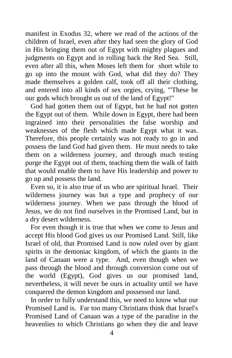manifest in Exodus 32, where we read of the actions of the children of Israel, even after they had seen the glory of God in His bringing them out of Egypt with mighty plagues and judgments on Egypt and in rolling back the Red Sea. Still, even after all this, when Moses left them for short while to go up into the mount with God, what did they do? They made themselves a golden calf, took off all their clothing, and entered into all kinds of sex orgies, crying, "'These be our gods which brought us out of the land of Egypt!"

 God had gotten them out of Egypt, but he had not gotten the Egypt out of them. While down in Egypt, there had been ingrained into their personalities the false worship and weaknesses of the flesh which made Egypt what it was. Therefore, this people certainly was not ready to go in and possess the land God had given them. He must needs to take them on a wilderness journey, and through much testing purge the Egypt out of them, teaching them the walk of faith that would enable them to have His leadership and power to go up and possess the land.

 Even so, it is also true of us who are spiritual Israel. Their wilderness journey was but a type and prophecy of our wilderness journey. When we pass through the blood of Jesus, we do not find ourselves in the Promised Land, but in a dry desert wilderness.

 For even though it is true that when we come to Jesus and accept His blood God gives us our Promised Land. Still, like Israel of old, that Promised Land is now ruled over by giant spirits in the demoniac kingdom, of which the giants in the land of Canaan were a type. And, even though when we pass through the blood and through conversion come out of the world (Egypt), God gives us our promised land, nevertheless, it will never be ours in actuality until we have conquered the demon kingdom and possessed our land.

 In order to fully understand this, we need to know what our Promised Land is. Far too many Christians think that Israel's Promised Land of Canaan was a type of the paradise in the heavenlies to which Christians go when they die and leave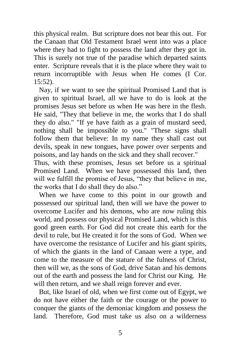this physical realm. But scripture does not bear this out. For the Canaan that Old Testament Israel went into was a place where they had to fight to possess the land after they got in. This is surely not true of the paradise which departed saints enter. Scripture reveals that it is the place where they wait to return incorruptible with Jesus when He comes (I Cor. 15:52).

 Nay, if we want to see the spiritual Promised Land that is given to spiritual Israel, all we have to do is look at the promises Jesus set before us when He was here in the flesh. He said, "They that believe in me, the works that I do shall they do also." "If ye have faith as a grain of mustard seed, nothing shall be impossible to you." "These signs shall follow them that believe: In my name they shall cast out devils, speak in new tongues, have power over serpents and poisons, and lay hands on the sick and they shall recover."

Thus, with these promises, Jesus set before us a spiritual Promised Land. When we have possessed this land, then will we fulfill the promise of Jesus, "they that believe in me, the works that I do shall they do also."

 When we have come to this point in our growth and possessed our spiritual land, then will we have the power to overcome Lucifer and his demons, who are now ruling this world, and possess our physical Promised Land, which is this good green earth. For God did not create this earth for the devil to rule, but He created it for the sons of God. When we have overcome the resistance of Lucifer and his giant spirits, of which the giants in the land of Canaan were a type, and come to the measure of the stature of the fulness of Christ, then will we, as the sons of God, drive Satan and his demons out of the earth and possess the land for Christ our King. He will then return, and we shall reign forever and ever.

 But, like Israel of old, when we first come out of Egypt, we do not have either the faith or the courage or the power to conquer the giants of the demoniac kingdom and possess the land. Therefore, God must take us also on a wilderness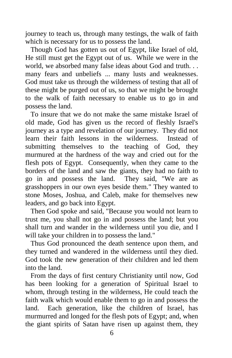journey to teach us, through many testings, the walk of faith which is necessary for us to possess the land.

 Though God has gotten us out of Egypt, like Israel of old, He still must get the Egypt out of us. While we were in the world, we absorbed many false ideas about God and truth. . . many fears and unbeliefs ... many lusts and weaknesses. God must take us through the wilderness of testing that all of these might be purged out of us, so that we might be brought to the walk of faith necessary to enable us to go in and possess the land.

 To insure that we do not make the same mistake Israel of old made, God has given us the record of fleshly Israel's journey as a type and revelation of our journey. They did not learn their faith lessons in the wilderness. Instead of submitting themselves to the teaching of God, they murmured at the hardness of the way and cried out for the flesh pots of Egypt. Consequently, when they came to the borders of the land and saw the giants, they had no faith to go in and possess the land. They said, "We are as grasshoppers in our own eyes beside them." They wanted to stone Moses, Joshua, and Caleb, make for themselves new leaders, and go back into Egypt.

 Then God spoke and said, "Because you would not learn to trust me, you shall not go in and possess the land; but you shall turn and wander in the wilderness until you die, and I will take your children in to possess the land."

 Thus God pronounced the death sentence upon them, and they turned and wandered in the wilderness until they died. God took the new generation of their children and led them into the land.

 From the days of first century Christianity until now, God has been looking for a generation of Spiritual Israel to whom, through testing in the wilderness, He could teach the faith walk which would enable them to go in and possess the land. Each generation, like the children of Israel, has murmurred and longed for the flesh pots of Egypt; and, when the giant spirits of Satan have risen up against them, they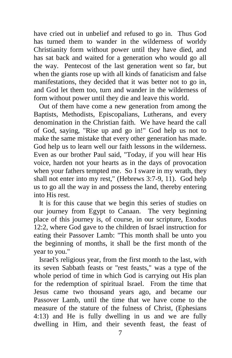have cried out in unbelief and refused to go in. Thus God has turned them to wander in the wilderness of worldy Christianity form without power until they have died, and has sat back and waited for a generation who would go all the way. Pentecost of the last generation went so far, but when the giants rose up with all kinds of fanaticism and false manifestations, they decided that it was better not to go in, and God let them too, turn and wander in the wilderness of form without power until they die and leave this world.

 Out of them have come a new generation from among the Baptists, Methodists, Episcopalians, Lutherans, and every denomination in the Christian faith. We have heard the call of God, saying, "Rise up and go in!" God help us not to make the same mistake that every other generation has made. God help us to learn well our faith lessons in the wilderness. Even as our brother Paul said, "Today, if you will hear His voice, harden not your hearts as in the days of provocation when your fathers tempted me. So I sware in my wrath, they shall not enter into my rest," (Hebrews 3:7-9, 11). God help us to go all the way in and possess the land, thereby entering into His rest.

 It is for this cause that we begin this series of studies on our journey from Egypt to Canaan. The very beginning place of this journey is, of course, in our scripture, Exodus 12:2, where God gave to the children of Israel instruction for eating their Passover Lamb: "This month shall be unto you the beginning of months, it shall be the first month of the year to you."

 Israel's religious year, from the first month to the last, with its seven Sabbath feasts or "rest feasts," was a type of the whole period of time in which God is carrying out His plan for the redemption of spiritual Israel. From the time that Jesus came two thousand years ago, and became our Passover Lamb, until the time that we have come to the measure of the stature of the fulness of Christ, (Ephesians 4:13) and He is fully dwelling in us and we are fully dwelling in Him, and their seventh feast, the feast of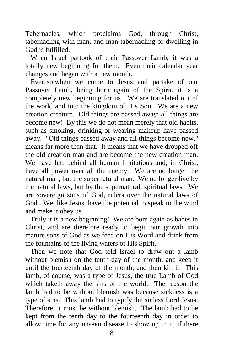Tabernacles, which proclaims God, through Christ, tabernacling with man, and man tabernacling or dwelling in God is fulfilled.

 When Israel partook of their Passover Lamb, it was a totally new beginning for them. Even their calendar year changes and began with a new month.

 Even so,when we come to Jesus and partake of our Passover Lamb, being born again of the Spirit, it is a completely new beginning for us. We are translated out of the world and into the kingdom of His Son. We are a new creation creature. Old things are passed away; all things are become new! By this we do not mean merely that old habits, such as smoking, drinking or wearing makeup have passed away. "Old things passed away and all things become new," means far more than that. It means that we have dropped off the old creation man and are become the new creation man. We have left behind all human limitations and, in Christ, have all power over all the enemy. We are no longer the natural man, but the supernatural man. We no longer live by the natural laws, but by the supernatural, spiritual laws. We are sovereign sons of God, rulers over the natural laws of God. We, like Jesus, have the potential to speak to the wind and make it obey us.

 Truly it is a new beginning! We are bom again as babes in Christ, and are therefore ready to begin our growth into mature sons of God as we feed on His Word and drink from the fountains of the living waters of His Spirit.

 Then we note that God told Israel to draw out a lamb without blemish on the tenth day of the month, and keep it until the fourteenth day of the month, and then kill it. This lamb, of course, was a type of Jesus, the true Lamb of God which taketh away the sins of the world. The reason the lamb had to be without blemish was because sickness is a type of sins. This lamb had to typify the sinless Lord Jesus. Therefore, it must be without blemish. The lamb had to be kept from the tenth day to the fourteenth day in order to allow time for any unseen disease to show up in it, if there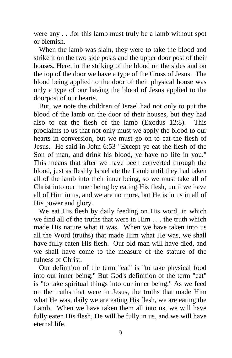were any . . .for this lamb must truly be a lamb without spot or blemish.

 When the lamb was slain, they were to take the blood and strike it on the two side posts and the upper door post of their houses. Here, in the striking of the blood on the sides and on the top of the door we have a type of the Cross of Jesus. The blood being applied to the door of their physical house was only a type of our having the blood of Jesus applied to the doorpost of our hearts.

 But, we note the children of Israel had not only to put the blood of the lamb on the door of their houses, but they had also to eat the flesh of the lamb (Exodus 12:8). This proclaims to us that not only must we apply the blood to our hearts in conversion, but we must go on to eat the flesh of Jesus. He said in John 6:53 "Except ye eat the flesh of the Son of man, and drink his blood, ye have no life in you." This means that after we have been converted through the blood, just as fleshly Israel ate the Lamb until they had taken all of the lamb into their inner being, so we must take all of Christ into our inner being by eating His flesh, until we have all of Him in us, and we are no more, but He is in us in all of His power and glory.

 We eat His flesh by daily feeding on His word, in which we find all of the truths that were in Him . . . the truth which made His nature what it was. When we have taken into us all the Word (truths) that made Him what He was, we shall have fully eaten His flesh. Our old man will have died, and we shall have come to the measure of the stature of the fulness of Christ.

 Our definition of the term "eat" is "to take physical food into our inner being." But God's definition of the term "eat" is "to take spiritual things into our inner being." As we feed on the truths that were in Jesus, the truths that made Him what He was, daily we are eating His flesh, we are eating the Lamb. When we have taken them all into us, we will have fully eaten His flesh, He will be fully in us, and we will have eternal life.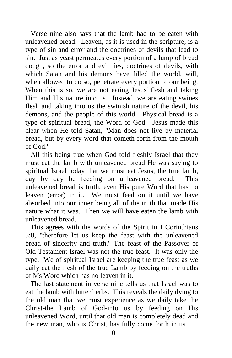Verse nine also says that the lamb had to be eaten with unleavened bread. Leaven, as it is used in the scripture, is a type of sin and error and the doctrines of devils that lead to sin. Just as yeast permeates every portion of a lump of bread dough, so the error and evil lies, doctrines of devils, with which Satan and his demons have filled the world, will, when allowed to do so, penetrate every portion of our being. When this is so, we are not eating Jesus' flesh and taking Him and His nature into us. Instead, we are eating swines flesh and taking into us the swinish nature of the devil, his demons, and the people of this world. Physical bread is a type of spiritual bread, the Word of God. Jesus made this clear when He told Satan, "Man does not live by material bread, but by every word that cometh forth from the mouth of God."

 All this being true when God told fleshly Israel that they must eat the lamb with unleavened bread He was saying to spiritual Israel today that we must eat Jesus, the true lamb, day by day be feeding on unleavened bread. This unleavened bread is truth, even His pure Word that has no leaven (error) in it. We must feed on it until we have absorbed into our inner being all of the truth that made His nature what it was. Then we will have eaten the lamb with unleavened bread.

 This agrees with the words of the Spirit in I Corinthians 5:8, "therefore let us keep the feast with the unleavened bread of sincerity and truth." The feast of the Passover of Old Testament Israel was not the true feast. It was only the type. We of spiritual Israel are keeping the true feast as we daily eat the flesh of the true Lamb by feeding on the truths of Ms Word which has no leaven in it.

 The last statement in verse nine tells us that Israel was to eat the lamb with bitter herbs. This reveals the daily dying to the old man that we must experience as we daily take the Christ-the Lamb of God-into us by feeding on His unleavened Word, until that old man is completely dead and the new man, who is Christ, has fully come forth in us . . .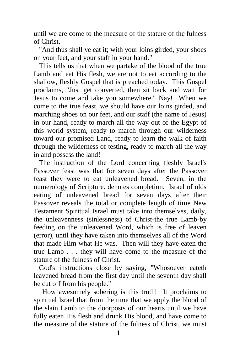until we are come to the measure of the stature of the fulness of Christ.

 "And thus shall ye eat it; with your loins girded, your shoes on your feet, and your staff in your hand."

 This tells us that when we partake of the blood of the true Lamb and eat His flesh, we are not to eat according to the shallow, fleshly Gospel that is preached today. This Gospel proclaims, "Just get converted, then sit back and wait for Jesus to come and take you somewhere." Nay! When we come to the true feast, we should have our loins girded, and marching shoes on our feet, and our staff (the name of Jesus) in our hand, ready to march all the way out of the Egypt of this world system, ready to march through our wilderness toward our promised Land, ready to learn the walk of faith through the wilderness of testing, ready to march all the way in and possess the land!

 The instruction of the Lord concerning fleshly Israel's Passover feast was that for seven days after the Passover feast they were to eat unleavened bread. Seven, in the numerology of Scripture. denotes completion. Israel of olds eating of unleavened bread for seven days after their Passover reveals the total or complete length of time New Testament Spiritual Israel must take into themselves, daily, the unleavenness (sinlessness) of Christ-the true Lamb-by feeding on the unleavened Word, which is free of leaven (error), until they have taken into themselves all of the Word that made Him what He was. Then will they have eaten the true Lamb . . . they will have come to the measure of the stature of the fulness of Christ.

 God's instructions close by saying, "Whosoever eateth leavened bread from the first day until the seventh day shall be cut off from his people."

How awesomely sobering is this truth! It proclaims to spiritual Israel that from the time that we apply the blood of the slain Lamb to the doorposts of our hearts until we have fully eaten His flesh and drunk His blood, and have come to the measure of the stature of the fulness of Christ, we must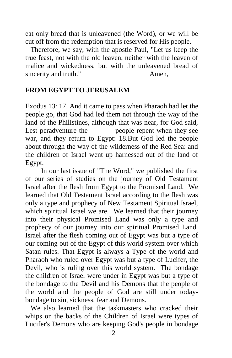eat only bread that is unleavened (the Word), or we will be cut off from the redemption that is reserved for His people.

 Therefore, we say, with the apostle Paul, "Let us keep the true feast, not with the old leaven, neither with the leaven of malice and wickedness, but with the unleavened bread of sincerity and truth." Amen,

### **FROM EGYPT TO JERUSALEM**

Exodus 13: 17. And it came to pass when Pharaoh had let the people go, that God had led them not through the way of the land of the Philistines, although that was near, for God said, Lest peradventure the people repent when they see war, and they return to Egypt: 18.But God led the people about through the way of the wilderness of the Red Sea: and the children of Israel went up harnessed out of the land of Egypt.

 In our last issue of "The Word," we published the first of our series of studies on the journey of Old Testament Israel after the flesh from Egypt to the Promised Land. We learned that Old Testament Israel according to the flesh was only a type and prophecy of New Testament Spiritual Israel, which spiritual Israel we are. We learned that their journey into their physical Promised Land was only a type and prophecy of our journey into our spiritual Promised Land. Israel after the flesh coming out of Egypt was but a type of our coming out of the Egypt of this world system over which Satan rules. That Egypt is always a Type of the world and Pharaoh who ruled over Egypt was but a type of Lucifer, the Devil, who is ruling over this world system. The bondage the children of Israel were under in Egypt was but a type of the bondage to the Devil and his Demons that the people of the world and the people of God are still under todaybondage to sin, sickness, fear and Demons.

We also learned that the taskmasters who cracked their whips on the backs of the Children of Israel were types of Lucifer's Demons who are keeping God's people in bondage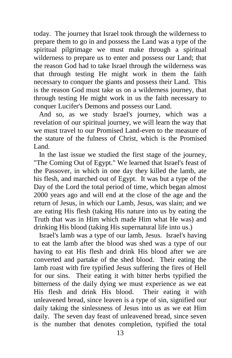today. The journey that Israel took through the wilderness to prepare them to go in and possess the Land was a type of the spiritual pilgrimage we must make through a spiritual wilderness to prepare us to enter and possess our Land; that the reason God had to take Israel through the wilderness was that through testing He might work in them the faith necessary to conquer the giants and possess their Land. This is the reason God must take us on a wilderness journey, that through testing He might work in us the faith necessary to conquer Lucifer's Demons and possess our Land.

 And so, as we study Israel's journey, which was a revelation of our spiritual journey, we will learn the way that we must travel to our Promised Land-even to the measure of the stature of the fulness of Christ, which is the Promised Land.

 In the last issue we studied the first stage of the journey, "The Coming Out of Egypt." We learned that Israel's feast of the Passover, in which in one day they killed the lamb, ate his flesh, and marched out of Egypt. It was but a type of the Day of the Lord the total period of time, which began almost 2000 years ago and will end at the close of the age and the return of Jesus, in which our Lamb, Jesus, was slain; and we are eating His flesh (taking His nature into us by eating the Truth that was in Him which made Him what He was) and drinking His blood (taking His supernatural life into us.)

 Israel's lamb was a type of our lamb, Jesus. Israel's having to eat the lamb after the blood was shed was a type of our having to eat His flesh and drink His blood after we are converted and partake of the shed blood. Their eating the lamb roast with fire typified Jesus suffering the fires of Hell for our sins. Their eating it with bitter herbs typified the bitterness of the daily dying we must experience as we eat His flesh and drink His blood. Their eating it with unleavened bread, since leaven is a type of sin, signified our daily taking the sinlessness of Jesus into us as we eat Him daily. The seven day feast of unleavened bread, since seven is the number that denotes completion, typified the total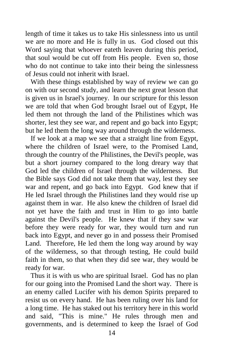length of time it takes us to take His sinlessness into us until we are no more and He is fully in us. God closed out this Word saying that whoever eateth leaven during this period, that soul would be cut off from His people. Even so, those who do not continue to take into their being the sinlessness of Jesus could not inherit with Israel.

With these things established by way of review we can go on with our second study, and learn the next great lesson that is given us in Israel's journey. In our scripture for this lesson we are told that when God brought Israel out of Egypt, He led them not through the land of the Philistines which was shorter, lest they see war, and repent and go back into Egypt; but he led them the long way around through the wilderness.

 If we look at a map we see that a straight line from Egypt, where the children of Israel were, to the Promised Land, through the country of the Philistines, the Devil's people, was but a short journey compared to the long dreary way that God led the children of Israel through the wilderness. But the Bible says God did not take them that way, lest they see war and repent, and go back into Egypt. God knew that if He led Israel through the Philistines land they would rise up against them in war. He also knew the children of Israel did not yet have the faith and trust in Him to go into battle against the Devil's people. He knew that if they saw war before they were ready for war, they would turn and run back into Egypt, and never go in and possess their Promised Land. Therefore, He led them the long way around by way of the wilderness, so that through testing, He could build faith in them, so that when they did see war, they would be ready for war.

 Thus it is with us who are spiritual Israel. God has no plan for our going into the Promised Land the short way. There is an enemy called Lucifer with his demon Spirits prepared to resist us on every hand. He has been ruling over his land for a long time. He has staked out his territory here in this world and said, "This is mine." He rules through men and governments, and is determined to keep the Israel of God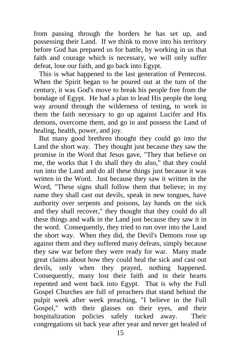from passing through the borders he has set up, and possessing their Land. If we think to move into his territory before God has prepared us for battle, by working in us that faith and courage which is necessary, we will only suffer defeat, lose our faith, and go back into Egypt.

 This is what happened to the last generation of Pentecost. When the Spirit began to be poured out at the turn of the century, it was God's move to break his people free from the bondage of Egypt. He had a plan to lead His people the long way around through the wilderness of testing, to work in them the faith necessary to go up against Lucifer and His demons, overcome them, and go in and possess the Land of healing, health, power, and joy.

 But many good brethren thought they could go into the Land the short way. They thought just because they saw the promise in the Word that Jesus gave, "They that believe on me, the works that I do shall they do also," that they could run into the Land and do all these things just because it was written in the Word. Just because they saw it written in the Word, "These signs shall follow them that believe; in my name they shall cast out devils, speak in new tongues, have authority over serpents and poisons, lay hands on the sick and they shall recover," they thought that they could do all these things and walk in the Land just because they saw it in the word. Consequently, they tried to run over into the Land the short way. When they did, the Devil's Demons rose up against them and they suffered many defeats, simply because they saw war before they were ready for war. Many made great claims about how they could heal the sick and cast out devils, only when they prayed, nothing happened. Consequently, many lost their faith and in their hearts repented and went back into Egypt. That is why the Full Gospel Churches are full of preachers that stand behind the pulpit week after week preaching, "I believe in the Full Gospel," with their glasses on their eyes, and their hospitalization policies safely tucked away. Their congregations sit back year after year and never get healed of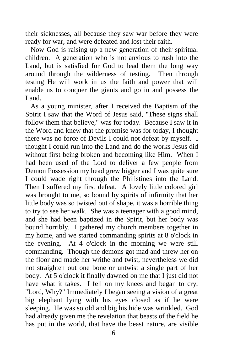their sicknesses, all because they saw war before they were ready for war, and were defeated and lost their faith.

 Now God is raising up a new generation of their spiritual children. A generation who is not anxious to rush into the Land, but is satisfied for God to lead them the long way around through the wilderness of testing. Then through testing He will work in us the faith and power that will enable us to conquer the giants and go in and possess the Land.

 As a young minister, after I received the Baptism of the Spirit I saw that the Word of Jesus said, "These signs shall follow them that believe," was for today. Because I saw it in the Word and knew that the promise was for today, I thought there was no force of Devils I could not defeat by myself. I thought I could run into the Land and do the works Jesus did without first being broken and becoming like Him. When I had been used of the Lord to deliver a few people from Demon Possession my head grew bigger and I was quite sure I could wade right through the Philistines into the Land. Then I suffered my first defeat. A lovely little colored girl was brought to me, so bound by spirits of infirmity that her little body was so twisted out of shape, it was a horrible thing to try to see her walk. She was a teenager with a good mind, and she had been baptized in the Spirit, but her body was bound horribly. I gathered my church members together in my home, and we started commanding spirits at 8 o'clock in the evening. At 4 o'clock in the morning we were still commanding. Though the demons got mad and threw her on the floor and made her writhe and twist, nevertheless we did not straighten out one bone or untwist a single part of her body. At 5 o'clock it finally dawned on me that I just did not have what it takes. I fell on my knees and began to cry, "Lord, Why?" Immediately I began seeing a vision of a great big elephant lying with his eyes closed as if he were sleeping. He was so old and big his hide was wrinkled. God had already given me the revelation that beasts of the field he has put in the world, that have the beast nature, are visible